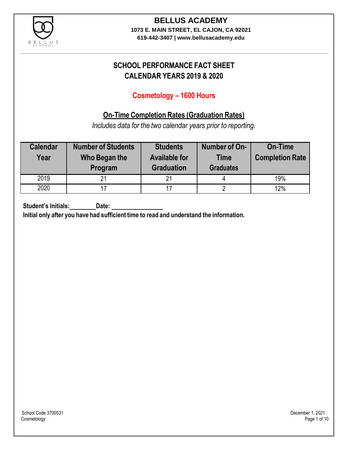

# **BELLUS ACADEMY**

**1073 E. MAIN STREET, EL CAJON, CA 92021 619-442-3407 | www.bellusacademy.edu**

### **SCHOOL PERFORMANCE FACT SHEET CALENDAR YEARS 2019 & 2020**

### **Cosmetology – 1600 Hours**

### **On-Time Completion Rates (Graduation Rates)**

*Includes data for the two calendar years prior to reporting.*

| <b>Calendar</b><br>Year | <b>Number of Students</b><br>Who Began the<br>Program | <b>Students</b><br><b>Available for</b><br><b>Graduation</b> | Number of On-<br><b>Time</b><br><b>Graduates</b> | <b>On-Time</b><br><b>Completion Rate</b> |
|-------------------------|-------------------------------------------------------|--------------------------------------------------------------|--------------------------------------------------|------------------------------------------|
| 2019                    | 21                                                    | 21                                                           |                                                  | 19%                                      |
| 2020                    |                                                       | 17                                                           |                                                  | 12%                                      |

**Student's Initials: Date:**

**Initial only after you have had sufficient time to read and understand the information.**

School Code 3700531 December 1, 2021<br>Cosmetology Page 1 of 10 Cosmetology Page 1 of 10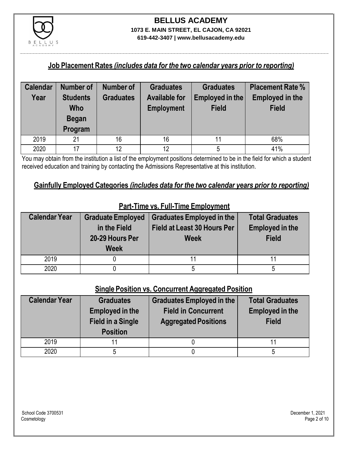

## **BELLUS ACADEMY 1073 E. MAIN STREET, EL CAJON, CA 92021**

**619-442-3407 | www.bellusacademy.edu**

### **Job Placement Rates** *(includes data for the two calendar years prior to reporting)*

| <b>Calendar</b> | <b>Number of</b> | <b>Number of</b> | <b>Graduates</b>     | <b>Graduates</b> | <b>Placement Rate %</b> |
|-----------------|------------------|------------------|----------------------|------------------|-------------------------|
| Year            | <b>Students</b>  | <b>Graduates</b> | <b>Available for</b> | Employed in the  | <b>Employed in the</b>  |
|                 | Who              |                  | <b>Employment</b>    | <b>Field</b>     | <b>Field</b>            |
|                 | <b>Began</b>     |                  |                      |                  |                         |
|                 | Program          |                  |                      |                  |                         |
| 2019            | 21               | 16               | 16                   | 11               | 68%                     |
| 2020            | 17               | 12               | 12                   |                  | 41%                     |

You may obtain from the institution a list of the employment positions determined to be in the field for which a student received education and training by contacting the Admissions Representative at this institution.

### **Gainfully Employed Categories** *(includes data for the two calendar years prior to reporting)*

| <b>Calendar Year</b> | <b>Graduate Employed</b><br>in the Field<br>20-29 Hours Per<br><b>Week</b> | <b>Graduates Employed in the</b><br><b>Field at Least 30 Hours Per</b><br><b>Week</b> | <b>Total Graduates</b><br><b>Employed in the</b><br><b>Field</b> |
|----------------------|----------------------------------------------------------------------------|---------------------------------------------------------------------------------------|------------------------------------------------------------------|
| 2019                 |                                                                            |                                                                                       |                                                                  |
| 2020                 |                                                                            |                                                                                       |                                                                  |

### **Part-Time vs. Full-Time Employment**

### **Single Position vs. Concurrent Aggregated Position**

| <b>Calendar Year</b> | <b>Graduates</b><br><b>Employed in the</b><br><b>Field in a Single</b><br><b>Position</b> | <b>Graduates Employed in the</b><br><b>Field in Concurrent</b><br><b>Aggregated Positions</b> | <b>Total Graduates</b><br><b>Employed in the</b><br><b>Field</b> |
|----------------------|-------------------------------------------------------------------------------------------|-----------------------------------------------------------------------------------------------|------------------------------------------------------------------|
| 2019                 | 11                                                                                        |                                                                                               |                                                                  |
| 2020                 |                                                                                           |                                                                                               |                                                                  |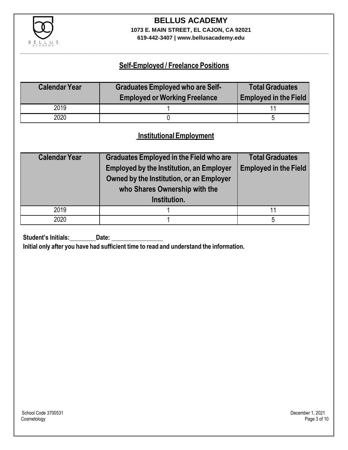

### **BELLUS ACADEMY 1073 E. MAIN STREET, EL CAJON, CA 92021**

**619-442-3407 | www.bellusacademy.edu**

### **Self-Employed / Freelance Positions**

| <b>Calendar Year</b> | <b>Graduates Employed who are Self-</b><br><b>Employed or Working Freelance</b> | <b>Total Graduates</b><br><b>Employed in the Field</b> |
|----------------------|---------------------------------------------------------------------------------|--------------------------------------------------------|
| 2019                 |                                                                                 |                                                        |
| 2020                 |                                                                                 |                                                        |

### **InstitutionalEmployment**

| <b>Calendar Year</b> | <b>Graduates Employed in the Field who are</b><br><b>Employed by the Institution, an Employer</b><br>Owned by the Institution, or an Employer<br>who Shares Ownership with the<br>Institution. | <b>Total Graduates</b><br><b>Employed in the Field</b> |
|----------------------|------------------------------------------------------------------------------------------------------------------------------------------------------------------------------------------------|--------------------------------------------------------|
| 2019                 |                                                                                                                                                                                                | 11                                                     |
| 2020                 |                                                                                                                                                                                                | 5                                                      |

**Student's Initials:** Date:

**Initial only after you have had sufficient time to read and understand the information.**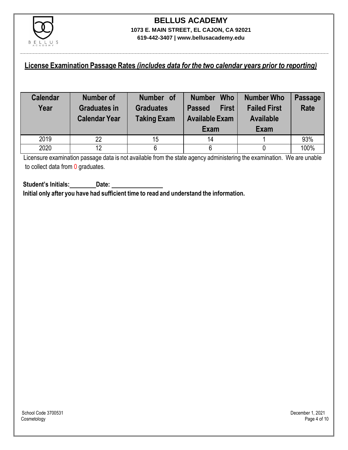

### **License Examination Passage Rates** *(includes data for the two calendar years prior to reporting)*

| <b>Calendar</b><br>Year | <b>Number of</b><br><b>Graduates in</b><br><b>Calendar Year</b> | Number of<br><b>Graduates</b><br><b>Taking Exam</b> | <b>Who</b><br><b>Number</b><br><b>First</b><br><b>Passed</b><br><b>Available Exam</b><br>Exam | <b>Number Who</b><br><b>Failed First</b><br><b>Available</b><br>Exam | <b>Passage</b><br><b>Rate</b> |
|-------------------------|-----------------------------------------------------------------|-----------------------------------------------------|-----------------------------------------------------------------------------------------------|----------------------------------------------------------------------|-------------------------------|
| 2019                    | 22                                                              | 15                                                  | 14                                                                                            |                                                                      | 93%                           |
| 2020                    | 12                                                              |                                                     | 6                                                                                             |                                                                      | 100%                          |

Licensure examination passage data is not available from the state agency administering the examination. We are unable to collect data from 0 graduates.

**Student's Initials: Date: Initial only after you have had sufficient time to read and understand the information.**

School Code 3700531 December 1, 2021<br>Cosmetology Page 4 of 10 Cosmetology Page 4 of 10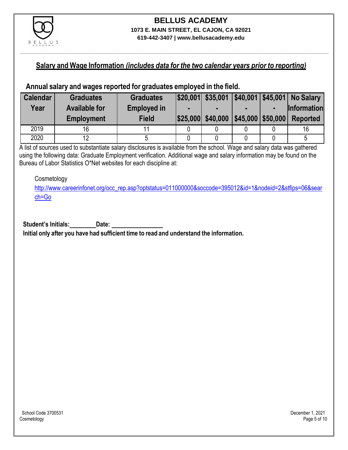

### **Salary and Wage Information** *(includes data for the two calendar years prior to reporting)*

#### **Annual salary and wages reported for graduates employed in the field.**

| <b>Calendar</b> | <b>Graduates</b>     | <b>Graduates</b>   |                   |                      | \$20,001 \$35,001   \$40,001   \$45,001   No Salary |
|-----------------|----------------------|--------------------|-------------------|----------------------|-----------------------------------------------------|
| Year            | <b>Available for</b> | <b>Employed in</b> |                   |                      | <b>Information</b>                                  |
|                 | <b>Employment</b>    | <b>Field</b>       | \$25,000 \$40,000 | $ $45,000$ \\$50,000 | <b>Reported</b>                                     |
| 2019            | 16                   |                    |                   |                      | 16                                                  |
| 2020            | 12                   |                    |                   |                      |                                                     |

A list of sources used to substantiate salary disclosures is available from the school. Wage and salary data was gathered using the following data: Graduate Employment verification. Additional wage and salary information may be found on the Bureau of Labor Statistics O\*Net websites for each discipline at:

#### Cosmetology

[http://www.careerinfonet.org/occ\\_rep.asp?optstatus=011000000&soccode=395012&id=1&nodeid=2&stfips=06&sear](http://www.careerinfonet.org/occ_rep.asp?optstatus=011000000&soccode=395012&id=1&nodeid=2&stfips=06&search=Go) [ch=Go](http://www.careerinfonet.org/occ_rep.asp?optstatus=011000000&soccode=395012&id=1&nodeid=2&stfips=06&search=Go)

**Student's Initials: Date:**

**Initial only after you have had sufficient time to read and understand the information.**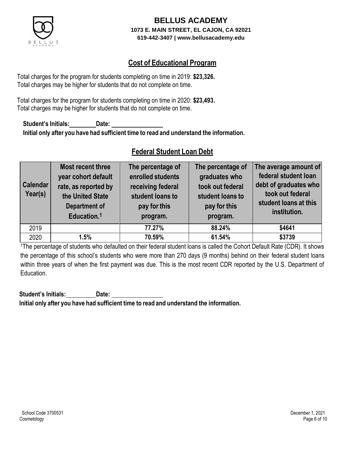

### **Cost of Educational Program**

Total charges for the program for students completing on time in 2019: **\$23,326.** Total charges may be higher for students that do not complete on time.

Total charges for the program for students completing on time in 2020: **\$23,493.** Total charges may be higher for students that do not complete on time.

**Student's Initials: Date: Initial only after you have had sufficient time to read and understand the information.**

### **Federal Student Loan Debt**

| <b>Calendar</b><br>Year(s) | Most recent three<br>year cohort default<br>rate, as reported by<br>the United State<br><b>Department of</b><br>Education. <sup>1</sup> | The percentage of<br>enrolled students<br>receiving federal<br>student loans to<br>pay for this<br>program. | The percentage of<br>graduates who<br>took out federal<br>student loans to<br>pay for this<br>program. | The average amount of<br>federal student loan<br>debt of graduates who<br>took out federal<br>student loans at this<br>institution. |
|----------------------------|-----------------------------------------------------------------------------------------------------------------------------------------|-------------------------------------------------------------------------------------------------------------|--------------------------------------------------------------------------------------------------------|-------------------------------------------------------------------------------------------------------------------------------------|
| 2019                       |                                                                                                                                         | 77.27%                                                                                                      | 88.24%                                                                                                 | \$4641                                                                                                                              |
| 2020                       | 1.5%                                                                                                                                    | 70.59%                                                                                                      | 61.54%                                                                                                 | \$3739                                                                                                                              |

<sup>1</sup>The percentage of students who defaulted on their federal student loans is called the Cohort Default Rate (CDR). It shows the percentage of this school's students who were more than 270 days (9 months) behind on their federal student loans within three years of when the first payment was due. This is the most recent CDR reported by the U.S. Department of Education.

**Student's Initials: Date: Initial only after you have had sufficient time to read and understand the information.**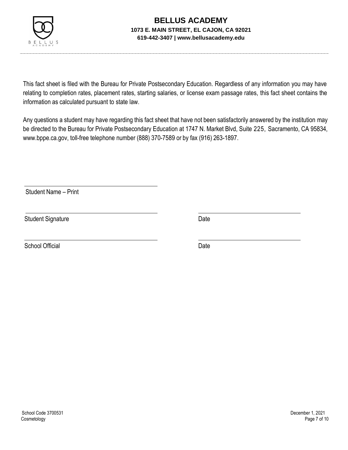

This fact sheet is filed with the Bureau for Private Postsecondary Education. Regardless of any information you may have relating to completion rates, placement rates, starting salaries, or license exam passage rates, this fact sheet contains the information as calculated pursuant to state law.

Any questions a student may have regarding this fact sheet that have not been satisfactorily answered by the institution may be directed to the Bureau for Private Postsecondary Education at 1747 N. Market Blvd, Suite 225, Sacramento, CA 95834, [www.bppe.ca.gov,](http://www.bppe.ca.gov/) toll-free telephone number (888) 370-7589 or by fax (916) 263-1897.

Student Name – Print

Student Signature Date

School Official Date Date Date Date Date Date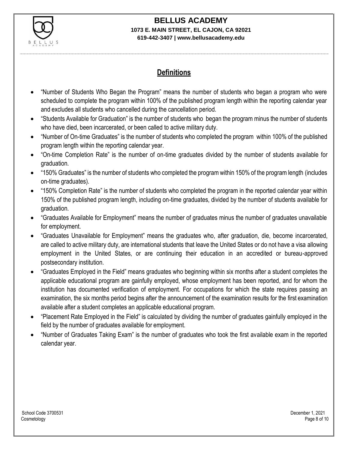

## **BELLUS ACADEMY**

#### **1073 E. MAIN STREET, EL CAJON, CA 92021 619-442-3407 | www.bellusacademy.edu**

### **Definitions**

- "Number of Students Who Began the Program" means the number of students who began a program who were scheduled to complete the program within 100% of the published program length within the reporting calendar year and excludes all students who cancelled during the cancellation period.
- "Students Available for Graduation" is the number of students who began the program minus the number of students who have died, been incarcerated, or been called to active military duty.
- "Number of On-time Graduates" is the number of students who completed the program within 100% of the published program length within the reporting calendar year.
- "On-time Completion Rate" is the number of on-time graduates divided by the number of students available for graduation.
- "150% Graduates" is the number of students who completed the program within 150% of the program length (includes on-time graduates).
- "150% Completion Rate" is the number of students who completed the program in the reported calendar year within 150% of the published program length, including on-time graduates, divided by the number of students available for graduation.
- "Graduates Available for Employment" means the number of graduates minus the number of graduates unavailable for employment.
- "Graduates Unavailable for Employment" means the graduates who, after graduation, die, become incarcerated, are called to active military duty, are international students that leave the United States or do not have a visa allowing employment in the United States, or are continuing their education in an accredited or bureau-approved postsecondary institution.
- "Graduates Employed in the Field" means graduates who beginning within six months after a student completes the applicable educational program are gainfully employed, whose employment has been reported, and for whom the institution has documented verification of employment. For occupations for which the state requires passing an examination, the six months period begins after the announcement of the examination results for the first examination available after a student completes an applicable educational program.
- "Placement Rate Employed in the Field" is calculated by dividing the number of graduates gainfully employed in the field by the number of graduates available for employment.
- "Number of Graduates Taking Exam" is the number of graduates who took the first available exam in the reported calendar year.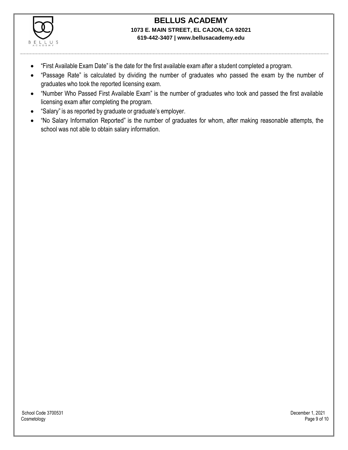

- "First Available Exam Date" is the date for the first available exam after a student completed a program.
- "Passage Rate" is calculated by dividing the number of graduates who passed the exam by the number of graduates who took the reported licensing exam.
- "Number Who Passed First Available Exam" is the number of graduates who took and passed the first available licensing exam after completing the program.
- "Salary" is as reported by graduate or graduate's employer.
- "No Salary Information Reported" is the number of graduates for whom, after making reasonable attempts, the school was not able to obtain salary information.